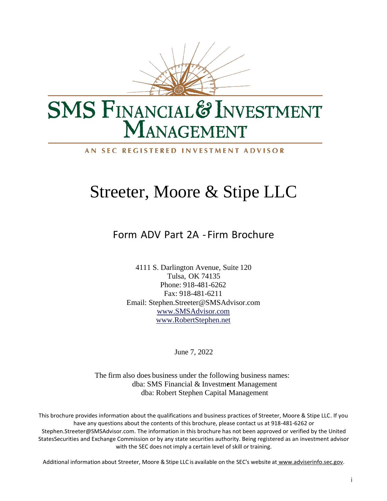

# **SMS FINANCIAL & INVESTMENT** MANAGEMENT

#### AN SEC REGISTERED INVESTMENT ADVISOR

# Streeter, Moore & Stipe LLC

Form ADV Part 2A - Firm Brochure

4111 S. Darlington Avenue, Suite 120 Tulsa, OK 74135 Phone: 918-481-6262 Fax: 918-481-6211 Email: [Stephen.Streeter@SMSAdvisor.com](mailto:Stephen.Streeter@SMSAdvisor.com) [www.SMSAdvisor.com](http://www.smsadvisor.com/) [www.RobertStephen.net](http://www.robertstephen.net/)

June 7, 2022

The firm also does business under the following business names: dba: SMS Financial & Investm**e**nt Management dba: Robert Stephen Capital Management

This brochure provides information about the qualifications and business practices of Streeter, Moore & Stipe LLC. If you have any questions about the contents of this brochure, please contact us at 918-481-6262 or [Stephen.Streeter@SMSAdvisor.com. T](mailto:Stephen.Streeter@SMSAdvisor.com)he information in this brochure has not been approved or verified by the United StatesSecurities and Exchange Commission or by any state securities authority. Being registered as an investment advisor with the SEC does not imply a certain level of skill or training.

Additional information about Streeter, Moore & Stipe LLC is available on the SEC's website at [www.adviserinfo.sec.gov.](http://www.adviserinfo.sec.gov/)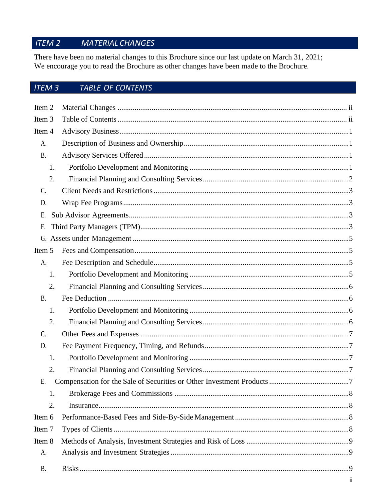#### ITEM 2 **MATERIAL CHANGES**

There have been no material changes to this Brochure since our last update on March 31, 2021; We encourage you to read the Brochure as other changes have been made to the Brochure.

#### **ITEM 3** TABLE OF CONTENTS

| Item <sub>2</sub> |     |
|-------------------|-----|
| Item <sub>3</sub> |     |
| Item 4            |     |
| А.                |     |
| <b>B.</b>         |     |
| 1.                |     |
| 2.                |     |
| C.                |     |
| D.                |     |
| Ε.                |     |
| F.                |     |
|                   |     |
| Item 5            |     |
| A.                |     |
| 1.                |     |
| 2.                |     |
| <b>B.</b>         |     |
| 1.                |     |
| 2.                |     |
| C.                |     |
| D.                |     |
| 1.                |     |
| 2.                |     |
| Е.                |     |
| 1.                |     |
| 2.                |     |
| Item 6            |     |
| Item <sub>7</sub> |     |
| Item 8            |     |
| A.                |     |
| <b>B.</b>         |     |
|                   | ii. |
|                   |     |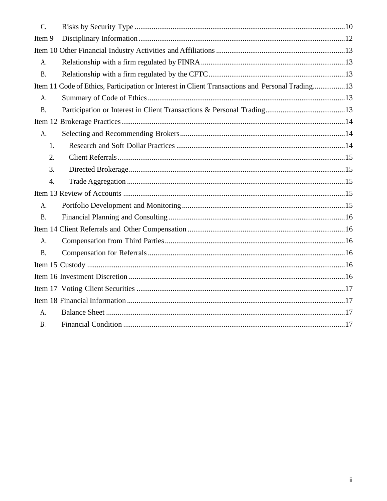| C.                                                                                              |  |  |  |  |
|-------------------------------------------------------------------------------------------------|--|--|--|--|
| Item 9                                                                                          |  |  |  |  |
|                                                                                                 |  |  |  |  |
| A <sub>1</sub>                                                                                  |  |  |  |  |
| <b>B.</b>                                                                                       |  |  |  |  |
| Item 11 Code of Ethics, Participation or Interest in Client Transactions and Personal Trading13 |  |  |  |  |
| A.                                                                                              |  |  |  |  |
| <b>B.</b>                                                                                       |  |  |  |  |
|                                                                                                 |  |  |  |  |
| A.                                                                                              |  |  |  |  |
| 1.                                                                                              |  |  |  |  |
| 2.                                                                                              |  |  |  |  |
| 3.                                                                                              |  |  |  |  |
| $\overline{4}$ .                                                                                |  |  |  |  |
|                                                                                                 |  |  |  |  |
| A.                                                                                              |  |  |  |  |
| <b>B.</b>                                                                                       |  |  |  |  |
|                                                                                                 |  |  |  |  |
| A.                                                                                              |  |  |  |  |
|                                                                                                 |  |  |  |  |
| <b>B.</b>                                                                                       |  |  |  |  |
|                                                                                                 |  |  |  |  |
|                                                                                                 |  |  |  |  |
|                                                                                                 |  |  |  |  |
|                                                                                                 |  |  |  |  |
| A.                                                                                              |  |  |  |  |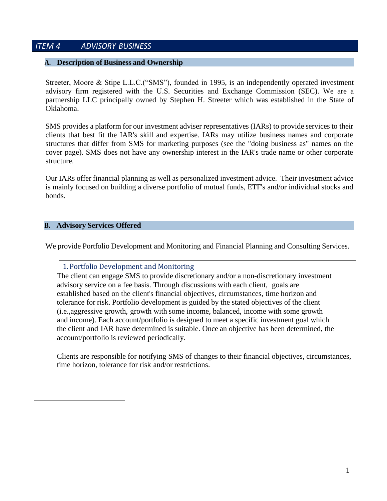## <span id="page-3-0"></span>*lTEM 4 ADVlSORY BUSlNESS*

#### **A. Description of Business and Ownership**

Streeter, Moore & Stipe L.L.C.("SMS"), founded in 1995, is an independently operated investment advisory firm registered with the U.S. Securities and Exchange Commission (SEC). We are a partnership LLC principally owned by Stephen H. Streeter which was established in the State of Oklahoma.

SMS provides a platform for our investment adviser representatives (IARs) to provide services to their clients that best fit the IAR's skill and expertise. IARs may utilize business names and corporate structures that differ from SMS for marketing purposes (see the "doing business as" names on the cover page). SMS does not have any ownership interest in the IAR's trade name or other corporate structure.

Our IARs offer financial planning as well as personalized investment advice. Their investment advice is mainly focused on building a diverse portfolio of mutual funds, ETF's and/or individual stocks and bonds.

#### <span id="page-3-1"></span>**B. Advisory Services Offered**

We provide Portfolio Development and Monitoring and Financial Planning and Consulting Services.

## 1. Portfolio Development and Monitoring

The client can engage SMS to provide discretionary and/or a non-discretionary investment advisory service on a fee basis. Through discussions with each client, goals are established based on the client's financial objectives, circumstances, time horizon and tolerance for risk. Portfolio development is guided by the stated objectives of the client (i.e.,aggressive growth, growth with some income, balanced, income with some growth and income). Each account/portfolio is designed to meet a specific investment goal which the client and IAR have determined is suitable. Once an objective has been determined, the account/portfolio is reviewed periodically.

Clients are responsible for notifying SMS of changes to their financial objectives, circumstances, time horizon, tolerance for risk and/or restrictions.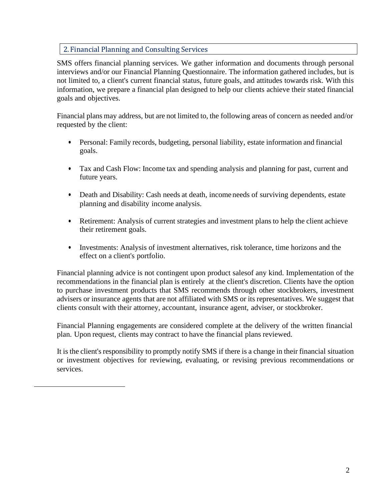## 2. Financial Planning and Consulting Services

SMS offers financial planning services. We gather information and documents through personal interviews and/or our Financial Planning Questionnaire. The information gathered includes, but is not limited to, a client's current financial status, future goals, and attitudes towards risk. With this information, we prepare a financial plan designed to help our clients achieve their stated financial goals and objectives.

Financial plans may address, but are not limited to, the following areas of concern as needed and/or requested by the client:

- Personal: Family records, budgeting, personal liability, estate information and financial goals.
- Tax and Cash Flow: Income tax and spending analysis and planning for past, current and future years.
- Death and Disability: Cash needs at death, income needs of surviving dependents, estate planning and disability income analysis.
- Retirement: Analysis of current strategies and investment plans to help the client achieve their retirement goals.
- Investments: Analysis of investment alternatives, risk tolerance, time horizons and the effect on a client's portfolio.

Financial planning advice is not contingent upon product salesof any kind. Implementation of the recommendations in the financial plan is entirely at the client's discretion. Clients have the option to purchase investment products that SMS recommends through other stockbrokers, investment advisers or insurance agents that are not affiliated with SMS or its representatives. We suggest that clients consult with their attorney, accountant, insurance agent, adviser, or stockbroker.

Financial Planning engagements are considered complete at the delivery of the written financial plan. Upon request, clients may contract to have the financial plans reviewed.

It is the client's responsibility to promptly notify SMS if there is a change in their financial situation or investment objectives for reviewing, evaluating, or revising previous recommendations or services.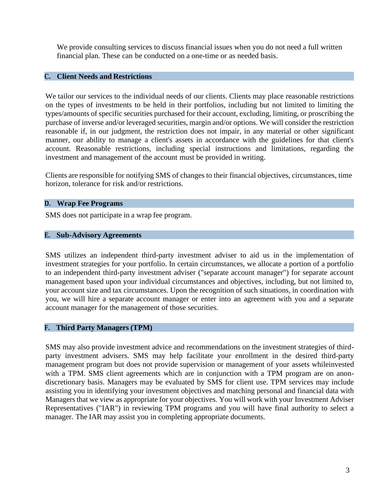We provide consulting services to discuss financial issues when you do not need a full written financial plan. These can be conducted on a one-time or as needed basis.

#### <span id="page-5-0"></span>**C. Client Needs and Restrictions**

We tailor our services to the individual needs of our clients. Clients may place reasonable restrictions on the types of investments to be held in their portfolios, including but not limited to limiting the types/amounts of specific securities purchased for their account, excluding, limiting, or proscribing the purchase of inverse and/or leveraged securities, margin and/or options. We will consider the restriction reasonable if, in our judgment, the restriction does not impair, in any material or other significant manner, our ability to manage a client's assets in accordance with the guidelines for that client's account. Reasonable restrictions, including special instructions and limitations, regarding the investment and management of the account must be provided in writing.

Clients are responsible for notifying SMS of changes to their financial objectives, circumstances, time horizon, tolerance for risk and/or restrictions.

#### <span id="page-5-1"></span>**D. Wrap Fee Programs**

SMS does not participate in a wrap fee program.

#### **E. Sub-Advisory Agreements**

SMS utilizes an independent third-party investment adviser to aid us in the implementation of investment strategies for your portfolio. In certain circumstances, we allocate a portion of a portfolio to an independent third-party investment adviser ("separate account manager") for separate account management based upon your individual circumstances and objectives, including, but not limited to, your account size and tax circumstances. Upon the recognition of such situations, in coordination with you, we will hire a separate account manager or enter into an agreement with you and a separate account manager for the management of those securities.

#### <span id="page-5-2"></span>**F. Third Party Managers (TPM)**

SMS may also provide investment advice and recommendations on the investment strategies of thirdparty investment advisers. SMS may help facilitate your enrollment in the desired third-party management program but does not provide supervision or management of your assets whileinvested with a TPM. SMS client agreements which are in conjunction with a TPM program are on anondiscretionary basis. Managers may be evaluated by SMS for client use. TPM services may include assisting you in identifying your investment objectives and matching personal and financial data with Managers that we view as appropriate for your objectives. You will work with your Investment Adviser Representatives ("IAR") in reviewing TPM programs and you will have final authority to select a manager. The IAR may assist you in completing appropriate documents.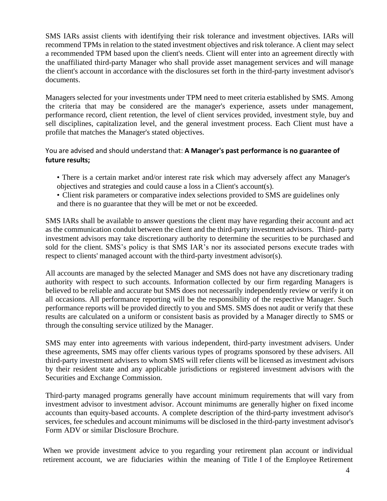SMS IARs assist clients with identifying their risk tolerance and investment objectives. IARs will recommend TPMs in relation to the stated investment objectives and risk tolerance. A client may select a recommended TPM based upon the client's needs. Client will enter into an agreement directly with the unaffiliated third-party Manager who shall provide asset management services and will manage the client's account in accordance with the disclosures set forth in the third-party investment advisor's documents.

Managers selected for your investments under TPM need to meet criteria established by SMS. Among the criteria that may be considered are the manager's experience, assets under management, performance record, client retention, the level of client services provided, investment style, buy and sell disciplines, capitalization level, and the general investment process. Each Client must have a profile that matches the Manager's stated objectives.

## You are advised and should understand that: **A Manager's past performance is no guarantee of future results;**

- There is a certain market and/or interest rate risk which may adversely affect any Manager's objectives and strategies and could cause a loss in a Client's account(s).
- Client risk parameters or comparative index selections provided to SMS are guidelines only and there is no guarantee that they will be met or not be exceeded.

SMS IARs shall be available to answer questions the client may have regarding their account and act as the communication conduit between the client and the third-party investment advisors. Third- party investment advisors may take discretionary authority to determine the securities to be purchased and sold for the client. SMS's policy is that SMS IAR's nor its associated persons execute trades with respect to clients' managed account with the third-party investment advisor(s).

All accounts are managed by the selected Manager and SMS does not have any discretionary trading authority with respect to such accounts. Information collected by our firm regarding Managers is believed to be reliable and accurate but SMS does not necessarily independently review or verify it on all occasions. All performance reporting will be the responsibility of the respective Manager. Such performance reports will be provided directly to you and SMS. SMS does not audit or verify that these results are calculated on a uniform or consistent basis as provided by a Manager directly to SMS or through the consulting service utilized by the Manager.

SMS may enter into agreements with various independent, third-party investment advisers. Under these agreements, SMS may offer clients various types of programs sponsored by these advisers. All third-party investment advisers to whom SMS will refer clients will be licensed as investment advisors by their resident state and any applicable jurisdictions or registered investment advisors with the Securities and Exchange Commission.

Third-party managed programs generally have account minimum requirements that will vary from investment advisor to investment advisor. Account minimums are generally higher on fixed income accounts than equity-based accounts. A complete description of the third-party investment advisor's services, fee schedules and account minimums will be disclosed in the third-party investment advisor's Form ADV or similar Disclosure Brochure.

When we provide investment advice to you regarding your retirement plan account or individual retirement account, we are fiduciaries within the meaning of Title I of the Employee Retirement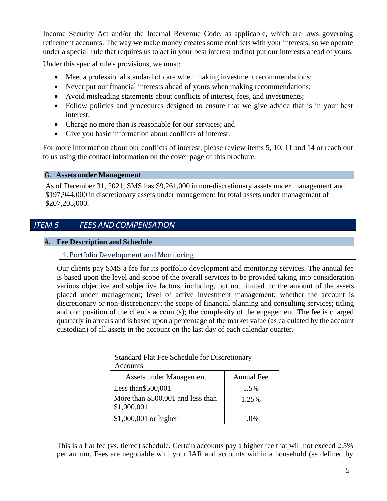Income Security Act and/or the Internal Revenue Code, as applicable, which are laws governing retirement accounts. The way we make money creates some conflicts with your interests, so we operate under a special rule that requires us to act in your best interest and not put our interests ahead of yours.

Under this special rule's provisions, we must:

- Meet a professional standard of care when making investment recommendations;
- Never put our financial interests ahead of yours when making recommendations;
- Avoid misleading statements about conflicts of interest, fees, and investments;
- Follow policies and procedures designed to ensure that we give advice that is in your best interest;
- Charge no more than is reasonable for our services; and
- Give you basic information about conflicts of interest.

For more information about our conflicts of interest, please review items 5, 10, 11 and 14 or reach out to us using the contact information on the cover page of this brochure.

#### <span id="page-7-0"></span>**G. Assets under Management**

As of December 31, 2021, SMS has \$9,261,000 in non-discretionary assets under management and \$197,944,000 in discretionary assets under management for total assets under management of \$207,205,000.

## *lTEM 5 FEES AND COMPENSATlON*

### <span id="page-7-1"></span>**A. Fee Description and Schedule**

1. Portfolio Development and Monitoring

Our clients pay SMS a fee for its portfolio development and monitoring services. The annual fee is based upon the level and scope of the overall services to be provided taking into consideration various objective and subjective factors, including, but not limited to: the amount of the assets placed under management; level of active investment management; whether the account is discretionary or non-discretionary; the scope of financial planning and consulting services; titling and composition of the client's account(s); the complexity of the engagement. The fee is charged quarterly in arrears and is based upon a percentage of the market value (as calculated by the account custodian) of all assets in the account on the last day of each calendar quarter.

| <b>Standard Flat Fee Schedule for Discretionary</b><br>Accounts |                   |  |  |
|-----------------------------------------------------------------|-------------------|--|--|
| Assets under Management                                         | <b>Annual Fee</b> |  |  |
| Less than \$500,001                                             | 1.5%              |  |  |
| More than \$500,001 and less than<br>\$1,000,001                | 1.25%             |  |  |
| \$1,000,001 or higher                                           | $1(1)$ %          |  |  |

This is a flat fee (vs. tiered) schedule. Certain accounts pay a higher fee that will not exceed 2.5% per annum. Fees are negotiable with your IAR and accounts within a household (as defined by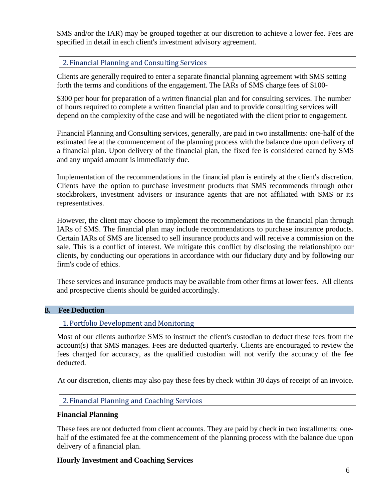SMS and/or the IAR) may be grouped together at our discretion to achieve a lower fee. Fees are specified in detail in each client's investment advisory agreement.

## 2. Financial Planning and Consulting Services

Clients are generally required to enter a separate financial planning agreement with SMS setting forth the terms and conditions of the engagement. The IARs of SMS charge fees of \$100-

\$300 per hour for preparation of a written financial plan and for consulting services. The number of hours required to complete a written financial plan and to provide consulting services will depend on the complexity of the case and will be negotiated with the client prior to engagement.

Financial Planning and Consulting services, generally, are paid in two installments: one-half of the estimated fee at the commencement of the planning process with the balance due upon delivery of a financial plan. Upon delivery of the financial plan, the fixed fee is considered earned by SMS and any unpaid amount is immediately due.

Implementation of the recommendations in the financial plan is entirely at the client's discretion. Clients have the option to purchase investment products that SMS recommends through other stockbrokers, investment advisers or insurance agents that are not affiliated with SMS or its representatives.

However, the client may choose to implement the recommendations in the financial plan through IARs of SMS. The financial plan may include recommendations to purchase insurance products. Certain IARs of SMS are licensed to sell insurance products and will receive a commission on the sale. This is a conflict of interest. We mitigate this conflict by disclosing the relationshipto our clients, by conducting our operations in accordance with our fiduciary duty and by following our firm's code of ethics.

These services and insurance products may be available from other firms at lower fees. All clients and prospective clients should be guided accordingly.

#### <span id="page-8-0"></span>**B. Fee Deduction**

1. Portfolio Development and Monitoring

Most of our clients authorize SMS to instruct the client's custodian to deduct these fees from the account(s) that SMS manages. Fees are deducted quarterly. Clients are encouraged to review the fees charged for accuracy, as the qualified custodian will not verify the accuracy of the fee deducted.

At our discretion, clients may also pay these fees by check within 30 days of receipt of an invoice.

#### 2. Financial Planning and Coaching Services

#### **Financial Planning**

These fees are not deducted from client accounts. They are paid by check in two installments: onehalf of the estimated fee at the commencement of the planning process with the balance due upon delivery of a financial plan.

#### **Hourly Investment and Coaching Services**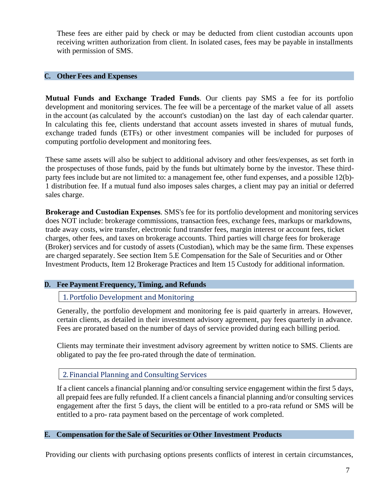These fees are either paid by check or may be deducted from client custodian accounts upon receiving written authorization from client. In isolated cases, fees may be payable in installments with permission of SMS.

#### <span id="page-9-0"></span>**C. Other Fees and Expenses**

**Mutual Funds and Exchange Traded Funds**. Our clients pay SMS a fee for its portfolio development and monitoring services. The fee will be a percentage of the market value of all assets in the account (as calculated by the account's custodian) on the last day of each calendar quarter. In calculating this fee, clients understand that account assets invested in shares of mutual funds, exchange traded funds (ETFs) or other investment companies will be included for purposes of computing portfolio development and monitoring fees.

These same assets will also be subject to additional advisory and other fees/expenses, as set forth in the prospectuses of those funds, paid by the funds but ultimately borne by the investor. These thirdparty fees include but are not limited to: a management fee, other fund expenses, and a possible 12(b)- 1 distribution fee. If a mutual fund also imposes sales charges, a client may pay an initial or deferred sales charge.

**Brokerage and Custodian Expenses**. SMS's fee for its portfolio development and monitoring services does NOT include: brokerage commissions, transaction fees, exchange fees, markups or markdowns, trade away costs, wire transfer, electronic fund transfer fees, margin interest or account fees, ticket charges, other fees, and taxes on brokerage accounts. Third parties will charge fees for brokerage (Broker) services and for custody of assets (Custodian), which may be the same firm. These expenses are charged separately. See section Item 5.E Compensation for the Sale of Securities and or Other Investment Products, Item 12 Brokerage Practices and Item 15 Custody for additional information.

#### <span id="page-9-1"></span>**D. Fee Payment Frequency, Timing, and Refunds**

1. Portfolio Development and Monitoring

Generally, the portfolio development and monitoring fee is paid quarterly in arrears. However, certain clients, as detailed in their investment advisory agreement, pay fees quarterly in advance. Fees are prorated based on the number of days of service provided during each billing period.

Clients may terminate their investment advisory agreement by written notice to SMS. Clients are obligated to pay the fee pro-rated through the date of termination.

2. Financial Planning and Consulting Services

If a client cancels a financial planning and/or consulting service engagement within the first 5 days, all prepaid fees are fully refunded. If a client cancels a financial planning and/or consulting services engagement after the first 5 days, the client will be entitled to a pro-rata refund or SMS will be entitled to a pro- rata payment based on the percentage of work completed.

#### <span id="page-9-2"></span>**E. Compensation for the Sale of Securities or Other Investment Products**

Providing our clients with purchasing options presents conflicts of interest in certain circumstances,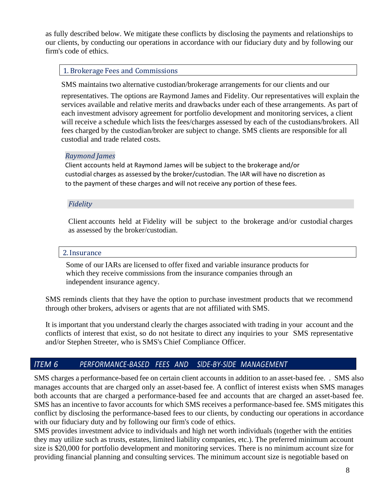as fully described below. We mitigate these conflicts by disclosing the payments and relationships to our clients, by conducting our operations in accordance with our fiduciary duty and by following our firm's code of ethics.

#### 1. Brokerage Fees and Commissions

SMS maintains two alternative custodian/brokerage arrangements for our clients and our

representatives. The options are Raymond James and Fidelity. Our representatives will explain the services available and relative merits and drawbacks under each of these arrangements. As part of each investment advisory agreement for portfolio development and monitoring services, a client will receive a schedule which lists the fees/charges assessed by each of the custodians/brokers. All fees charged by the custodian/broker are subject to change. SMS clients are responsible for all custodial and trade related costs.

#### *Raymond James*

Client accounts held at Raymond James will be subject to the brokerage and/or custodial charges as assessed by the broker/custodian. The IAR will have no discretion as to the payment of these charges and will not receive any portion of these fees.

#### *Fidelity*

Client accounts held at Fidelity will be subject to the brokerage and/or custodial charges as assessed by the broker/custodian.

#### 2. Insurance

Some of our IARs are licensed to offer fixed and variable insurance products for which they receive commissions from the insurance companies through an independent insurance agency.

SMS reminds clients that they have the option to purchase investment products that we recommend through other brokers, advisers or agents that are not affiliated with SMS.

It is important that you understand clearly the charges associated with trading in your account and the conflicts of interest that exist, so do not hesitate to direct any inquiries to your SMS representative and/or Stephen Streeter, who is SMS's Chief Compliance Officer.

## *lTEM 6 PERFORMANCE-BASED FEES AND SlDE-BY-SlDE MANAGEMENT*

SMS charges a performance-based fee on certain client accounts in addition to an asset-based fee. . SMS also manages accounts that are charged only an asset-based fee. A conflict of interest exists when SMS manages both accounts that are charged a performance-based fee and accounts that are charged an asset-based fee. SMS has an incentive to favor accounts for which SMS receives a performance-based fee. SMS mitigates this conflict by disclosing the performance-based fees to our clients, by conducting our operations in accordance with our fiduciary duty and by following our firm's code of ethics.

SMS provides investment advice to individuals and high net worth individuals (together with the entities they may utilize such as trusts, estates, limited liability companies, etc.). The preferred minimum account size is \$20,000 for portfolio development and monitoring services. There is no minimum account size for providing financial planning and consulting services. The minimum account size is negotiable based on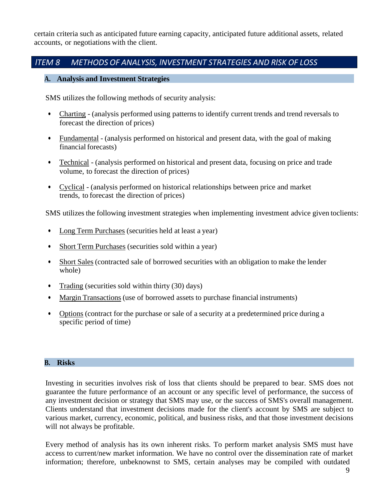certain criteria such as anticipated future earning capacity, anticipated future additional assets, related accounts, or negotiations with the client.

## <span id="page-11-0"></span>*lTEM 8 METHODS OF ANALYSlS, lNVESTMENT STRATEGlES AND RlSK OF LOSS*

#### **A. Analysis and Investment Strategies**

SMS utilizes the following methods of security analysis:

- Charting (analysis performed using patterns to identify current trends and trend reversals to forecast the direction of prices)
- Fundamental (analysis performed on historical and present data, with the goal of making financial forecasts)
- Technical (analysis performed on historical and present data, focusing on price and trade volume, to forecast the direction of prices)
- Cyclical (analysis performed on historical relationships between price and market trends, to forecast the direction of prices)

SMS utilizes the following investment strategies when implementing investment advice given toclients:

- Long Term Purchases (securities held at least a year)
- Short Term Purchases (securities sold within a year)
- Short Sales (contracted sale of borrowed securities with an obligation to make the lender whole)
- Trading (securities sold within thirty (30) days)
- Margin Transactions (use of borrowed assets to purchase financial instruments)
- Options (contract for the purchase or sale of a security at a predetermined price during a specific period of time)

#### <span id="page-11-1"></span>**B. Risks**

Investing in securities involves risk of loss that clients should be prepared to bear. SMS does not guarantee the future performance of an account or any specific level of performance, the success of any investment decision or strategy that SMS may use, or the success of SMS's overall management. Clients understand that investment decisions made for the client's account by SMS are subject to various market, currency, economic, political, and business risks, and that those investment decisions will not always be profitable.

Every method of analysis has its own inherent risks. To perform market analysis SMS must have access to current/new market information. We have no control over the dissemination rate of market information; therefore, unbeknownst to SMS, certain analyses may be compiled with outdated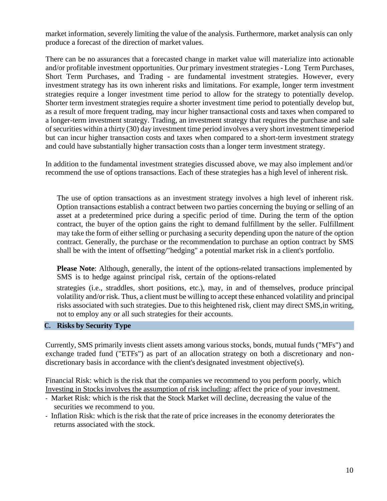market information, severely limiting the value of the analysis. Furthermore, market analysis can only produce a forecast of the direction of market values.

There can be no assurances that a forecasted change in market value will materialize into actionable and/or profitable investment opportunities. Our primary investment strategies - Long Term Purchases, Short Term Purchases, and Trading - are fundamental investment strategies. However, every investment strategy has its own inherent risks and limitations. For example, longer term investment strategies require a longer investment time period to allow for the strategy to potentially develop. Shorter term investment strategies require a shorter investment time period to potentially develop but, as a result of more frequent trading, may incur higher transactional costs and taxes when compared to a longer-term investment strategy. Trading, an investment strategy that requires the purchase and sale of securities within a thirty (30) day investment time period involves a very short investment timeperiod but can incur higher transaction costs and taxes when compared to a short-term investment strategy and could have substantially higher transaction costs than a longer term investment strategy.

In addition to the fundamental investment strategies discussed above, we may also implement and/or recommend the use of options transactions. Each of these strategies has a high level of inherent risk.

The use of option transactions as an investment strategy involves a high level of inherent risk. Option transactions establish a contract between two parties concerning the buying or selling of an asset at a predetermined price during a specific period of time. During the term of the option contract, the buyer of the option gains the right to demand fulfillment by the seller. Fulfillment may take the form of either selling or purchasing a security depending upon the nature of the option contract. Generally, the purchase or the recommendation to purchase an option contract by SMS shall be with the intent of offsetting/"hedging" a potential market risk in a client's portfolio.

**Please Note**: Although, generally, the intent of the options-related transactions implemented by SMS is to hedge against principal risk, certain of the options-related

strategies (i.e., straddles, short positions, etc.), may, in and of themselves, produce principal volatility and/or risk. Thus, a client must be willing to accept these enhanced volatility and principal risks associated with such strategies. Due to this heightened risk, client may direct SMS,in writing, not to employ any or all such strategies for their accounts.

#### <span id="page-12-0"></span>**C. Risks by Security Type**

Currently, SMS primarily invests client assets among various stocks, bonds, mutual funds ("MFs") and exchange traded fund ("ETFs") as part of an allocation strategy on both a discretionary and nondiscretionary basis in accordance with the client's designated investment objective(s).

Financial Risk: which is the risk that the companies we recommend to you perform poorly, which Investing in Stocksinvolves the assumption of risk including: affect the price of your investment.

- Market Risk: which is the risk that the Stock Market will decline, decreasing the value of the securities we recommend to you.
- Inflation Risk: which is the risk that the rate of price increases in the economy deteriorates the returns associated with the stock.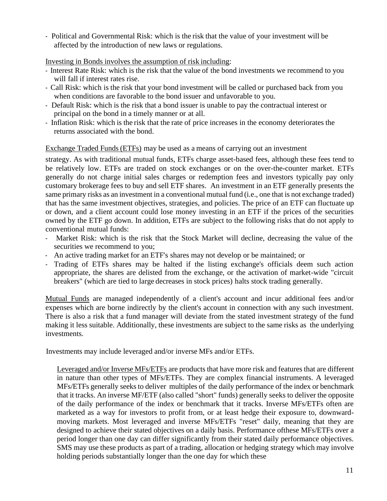- Political and Governmental Risk: which is the risk that the value of your investment will be affected by the introduction of new laws or regulations.

Investing in Bonds involves the assumption of risk including:

- Interest Rate Risk: which is the risk that the value of the bond investments we recommend to you will fall if interest rates rise.
- Call Risk: which is the risk that your bond investment will be called or purchased back from you when conditions are favorable to the bond issuer and unfavorable to you.
- Default Risk: which is the risk that a bond issuer is unable to pay the contractual interest or principal on the bond in a timely manner or at all.
- Inflation Risk: which is the risk that the rate of price increases in the economy deteriorates the returns associated with the bond.

## Exchange Traded Funds(ETFs) may be used as a means of carrying out an investment

strategy. As with traditional mutual funds, ETFs charge asset-based fees, although these fees tend to be relatively low. ETFs are traded on stock exchanges or on the over-the-counter market. ETFs generally do not charge initial sales charges or redemption fees and investors typically pay only customary brokerage fees to buy and sell ETF shares. An investment in an ETF generally presents the same primary risks as an investment in a conventional mutual fund (i.e., one that is not exchange traded) that has the same investment objectives, strategies, and policies. The price of an ETF can fluctuate up or down, and a client account could lose money investing in an ETF if the prices of the securities owned by the ETF go down. In addition, ETFs are subject to the following risks that do not apply to conventional mutual funds:

- Market Risk: which is the risk that the Stock Market will decline, decreasing the value of the securities we recommend to you;
- An active trading market for an ETF's shares may not develop or be maintained; or
- Trading of ETFs shares may be halted if the listing exchange's officials deem such action appropriate, the shares are delisted from the exchange, or the activation of market-wide "circuit breakers" (which are tied to large decreases in stock prices) halts stock trading generally.

Mutual Funds are managed independently of a client's account and incur additional fees and/or expenses which are borne indirectly by the client's account in connection with any such investment. There is also a risk that a fund manager will deviate from the stated investment strategy of the fund making it less suitable. Additionally, these investments are subject to the same risks as the underlying investments.

Investments may include leveraged and/or inverse MFs and/or ETFs.

Leveraged and/or Inverse MFs/ETFs are products that have more risk and features that are different in nature than other types of MFs/ETFs. They are complex financial instruments. A leveraged MFs/ETFs generally seeks to deliver multiples of the daily performance of the index or benchmark that it tracks. An inverse MF/ETF (also called "short" funds) generally seeks to deliver the opposite of the daily performance of the index or benchmark that it tracks. Inverse MFs/ETFs often are marketed as a way for investors to profit from, or at least hedge their exposure to, downwardmoving markets. Most leveraged and inverse MFs/ETFs "reset" daily, meaning that they are designed to achieve their stated objectives on a daily basis. Performance ofthese MFs/ETFs over a period longer than one day can differ significantly from their stated daily performance objectives. SMS may use these products as part of a trading, allocation or hedging strategy which may involve holding periods substantially longer than the one day for which these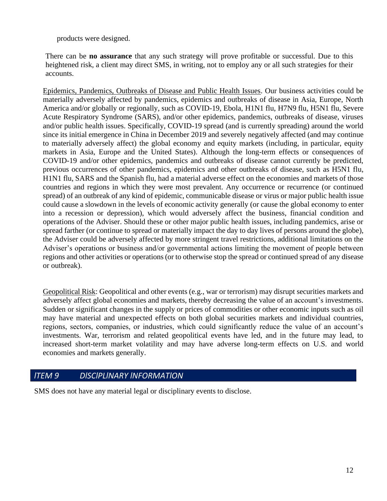products were designed.

There can be **no assurance** that any such strategy will prove profitable or successful. Due to this heightened risk, a client may direct SMS, in writing, not to employ any or all such strategies for their accounts.

Epidemics, Pandemics, Outbreaks of Disease and Public Health Issues. Our business activities could be materially adversely affected by pandemics, epidemics and outbreaks of disease in Asia, Europe, North America and/or globally or regionally, such as COVID-19, Ebola, H1N1 flu, H7N9 flu, H5N1 flu, Severe Acute Respiratory Syndrome (SARS), and/or other epidemics, pandemics, outbreaks of disease, viruses and/or public health issues. Specifically, COVID-19 spread (and is currently spreading) around the world since its initial emergence in China in December 2019 and severely negatively affected (and may continue to materially adversely affect) the global economy and equity markets (including, in particular, equity markets in Asia, Europe and the United States). Although the long-term effects or consequences of COVID-19 and/or other epidemics, pandemics and outbreaks of disease cannot currently be predicted, previous occurrences of other pandemics, epidemics and other outbreaks of disease, such as H5N1 flu, H1N1 flu, SARS and the Spanish flu, had a material adverse effect on the economies and markets of those countries and regions in which they were most prevalent. Any occurrence or recurrence (or continued spread) of an outbreak of any kind of epidemic, communicable disease or virus or major public health issue could cause a slowdown in the levels of economic activity generally (or cause the global economy to enter into a recession or depression), which would adversely affect the business, financial condition and operations of the Adviser. Should these or other major public health issues, including pandemics, arise or spread farther (or continue to spread or materially impact the day to day lives of persons around the globe), the Adviser could be adversely affected by more stringent travel restrictions, additional limitations on the Adviser's operations or business and/or governmental actions limiting the movement of people between regions and other activities or operations(or to otherwise stop the spread or continued spread of any disease or outbreak).

Geopolitical Risk: Geopolitical and other events (e.g., war or terrorism) may disrupt securities markets and adversely affect global economies and markets, thereby decreasing the value of an account's investments. Sudden or significant changes in the supply or prices of commodities or other economic inputs such as oil may have material and unexpected effects on both global securities markets and individual countries, regions, sectors, companies, or industries, which could significantly reduce the value of an account's investments. War, terrorism and related geopolitical events have led, and in the future may lead, to increased short-term market volatility and may have adverse long-term effects on U.S. and world economies and markets generally.

## *lTEM 9 DlSClPLlNARY lNFORMATlON*

SMS does not have any material legal or disciplinary events to disclose.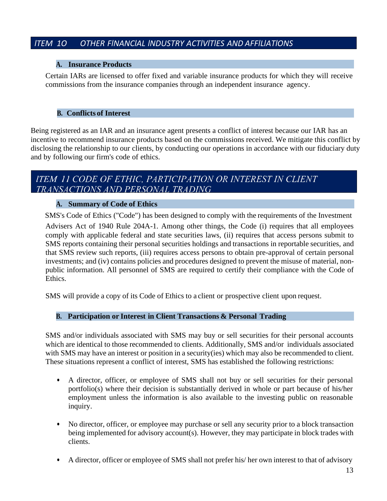## *lTEM 1O OTHER FlNANClAL lNDUSTRY ACTlVlTlES AND AFFlLlATlONS*

#### **A. Insurance Products**

Certain IARs are licensed to offer fixed and variable insurance products for which they will receive commissions from the insurance companies through an independent insurance agency.

#### **B. Conflicts of Interest**

Being registered as an IAR and an insurance agent presents a conflict of interest because our IAR has an incentive to recommend insurance products based on the commissions received. We mitigate this conflict by disclosing the relationship to our clients, by conducting our operations in accordance with our fiduciary duty and by following our firm's code of ethics.

## <span id="page-15-0"></span>ITEM 11 CODE OF ETHIC, PARTICIPATION OR INTEREST IN CLIENT TRANSACTIONS AND PERSONAL TRADING

#### **A. Summary of Code of Ethics**

SMS's Code of Ethics ("Code") has been designed to comply with the requirements of the Investment

Advisers Act of 1940 Rule 204A-1. Among other things, the Code (i) requires that all employees comply with applicable federal and state securities laws, (ii) requires that access persons submit to SMS reports containing their personal securities holdings and transactions in reportable securities, and that SMS review such reports, (iii) requires access persons to obtain pre-approval of certain personal investments; and (iv) contains policies and procedures designed to prevent the misuse of material, nonpublic information. All personnel of SMS are required to certify their compliance with the Code of Ethics.

<span id="page-15-1"></span>SMS will provide a copy of its Code of Ethics to a client or prospective client upon request.

### **B. Participation or Interest in Client Transactions & Personal Trading**

SMS and/or individuals associated with SMS may buy or sell securities for their personal accounts which are identical to those recommended to clients. Additionally, SMS and/or individuals associated with SMS may have an interest or position in a security(ies) which may also be recommended to client. These situations represent a conflict of interest, SMS has established the following restrictions:

- A director, officer, or employee of SMS shall not buy or sell securities for their personal portfolio(s) where their decision is substantially derived in whole or part because of his/her employment unless the information is also available to the investing public on reasonable inquiry.
- No director, officer, or employee may purchase or sell any security prior to a block transaction being implemented for advisory account(s). However, they may participate in block trades with clients.
- A director, officer or employee of SMS shall not prefer his/ her own interest to that of advisory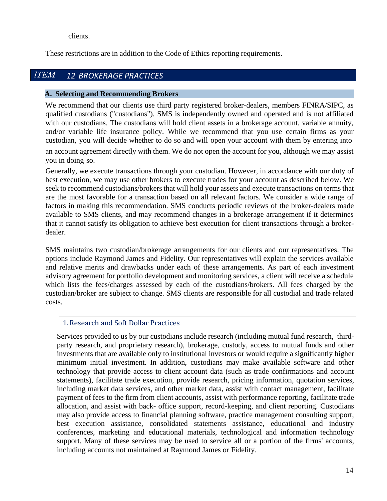clients.

These restrictions are in addition to the Code of Ethics reporting requirements.

#### <span id="page-16-0"></span>**ITEM** *12 BROKERAGE PRACTICES*

#### **A. Selecting and Recommending Brokers**

We recommend that our clients use third party registered broker-dealers, members FINRA/SIPC, as qualified custodians ("custodians"). SMS is independently owned and operated and is not affiliated with our custodians. The custodians will hold client assets in a brokerage account, variable annuity, and/or variable life insurance policy. While we recommend that you use certain firms as your custodian, you will decide whether to do so and will open your account with them by entering into

an account agreement directly with them. We do not open the account for you, although we may assist you in doing so.

Generally, we execute transactions through your custodian. However, in accordance with our duty of best execution, we may use other brokers to execute trades for your account as described below. We seek to recommend custodians/brokers that will hold your assets and execute transactions on terms that are the most favorable for a transaction based on all relevant factors. We consider a wide range of factors in making this recommendation. SMS conducts periodic reviews of the broker-dealers made available to SMS clients, and may recommend changes in a brokerage arrangement if it determines that it cannot satisfy its obligation to achieve best execution for client transactions through a brokerdealer.

SMS maintains two custodian/brokerage arrangements for our clients and our representatives. The options include Raymond James and Fidelity. Our representatives will explain the services available and relative merits and drawbacks under each of these arrangements. As part of each investment advisory agreement for portfolio development and monitoring services, a client will receive a schedule which lists the fees/charges assessed by each of the custodians/brokers. All fees charged by the custodian/broker are subject to change. SMS clients are responsible for all custodial and trade related costs.

### 1.Research and Soft Dollar Practices

Services provided to us by our custodians include research (including mutual fund research, thirdparty research, and proprietary research), brokerage, custody, access to mutual funds and other investments that are available only to institutional investors or would require a significantly higher minimum initial investment. In addition, custodians may make available software and other technology that provide access to client account data (such as trade confirmations and account statements), facilitate trade execution, provide research, pricing information, quotation services, including market data services, and other market data, assist with contact management, facilitate payment of fees to the firm from client accounts, assist with performance reporting, facilitate trade allocation, and assist with back- office support, record-keeping, and client reporting. Custodians may also provide access to financial planning software, practice management consulting support, best execution assistance, consolidated statements assistance, educational and industry conferences, marketing and educational materials, technological and information technology support. Many of these services may be used to service all or a portion of the firms' accounts, including accounts not maintained at Raymond James or Fidelity.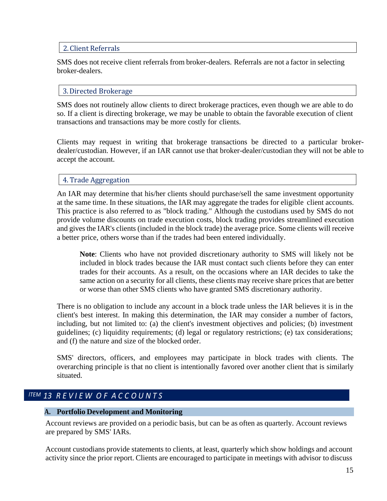#### 2. Client Referrals

SMS does not receive client referrals from broker-dealers. Referrals are not a factor in selecting broker-dealers.

#### 3.Directed Brokerage

SMS does not routinely allow clients to direct brokerage practices, even though we are able to do so. If a client is directing brokerage, we may be unable to obtain the favorable execution of client transactions and transactions may be more costly for clients.

Clients may request in writing that brokerage transactions be directed to a particular brokerdealer/custodian. However, if an IAR cannot use that broker-dealer/custodian they will not be able to accept the account.

### 4. Trade Aggregation

An IAR may determine that his/her clients should purchase/sell the same investment opportunity at the same time. In these situations, the IAR may aggregate the trades for eligible client accounts. This practice is also referred to as "block trading." Although the custodians used by SMS do not provide volume discounts on trade execution costs, block trading provides streamlined execution and gives the IAR's clients (included in the block trade) the average price. Some clients will receive a better price, others worse than if the trades had been entered individually.

**Note**: Clients who have not provided discretionary authority to SMS will likely not be included in block trades because the IAR must contact such clients before they can enter trades for their accounts. As a result, on the occasions where an IAR decides to take the same action on a security for all clients, these clients may receive share prices that are better or worse than other SMS clients who have granted SMS discretionary authority.

There is no obligation to include any account in a block trade unless the IAR believes it is in the client's best interest. In making this determination, the IAR may consider a number of factors, including, but not limited to: (a) the client's investment objectives and policies; (b) investment guidelines; (c) liquidity requirements; (d) legal or regulatory restrictions; (e) tax considerations; and (f) the nature and size of the blocked order.

SMS' directors, officers, and employees may participate in block trades with clients. The overarching principle is that no client is intentionally favored over another client that is similarly situated.

## <span id="page-17-0"></span>*lTEM 13 R E V I E W O F A C C O U N T S*

#### **A. Portfolio Development and Monitoring**

Account reviews are provided on a periodic basis, but can be as often as quarterly. Account reviews are prepared by SMS' IARs.

Account custodians provide statements to clients, at least, quarterly which show holdings and account activity since the prior report. Clients are encouraged to participate in meetings with advisor to discuss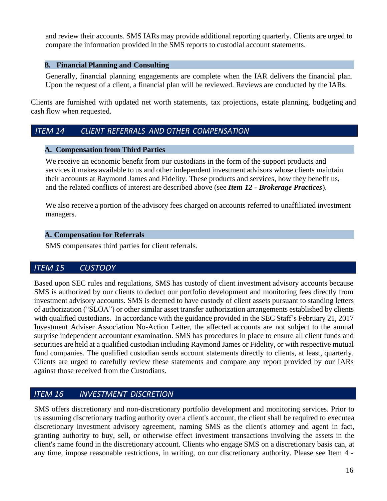and review their accounts. SMS IARs may provide additional reporting quarterly. Clients are urged to compare the information provided in the SMS reports to custodial account statements.

#### <span id="page-18-0"></span>**B. Financial Planning and Consulting**

Generally, financial planning engagements are complete when the IAR delivers the financial plan. Upon the request of a client, a financial plan will be reviewed. Reviews are conducted by the IARs.

Clients are furnished with updated net worth statements, tax projections, estate planning, budgeting and cash flow when requested.

## <span id="page-18-1"></span>*lTEM 14 CLlENT REFERRALS AND OTHER COMPENSATlON*

#### **A. Compensation from Third Parties**

We receive an economic benefit from our custodians in the form of the support products and services it makes available to us and other independent investment advisors whose clients maintain their accounts at Raymond James and Fidelity. These products and services, how they benefit us, and the related conflicts of interest are described above (see *Item 12 - Brokerage Practices*).

We also receive a portion of the advisory fees charged on accounts referred to unaffiliated investment managers.

#### **A. Compensation for Referrals**

SMS compensates third parties for client referrals.

## *lTEM 15 CUSTODY*

Based upon SEC rules and regulations, SMS has custody of client investment advisory accounts because SMS is authorized by our clients to deduct our portfolio development and monitoring fees directly from investment advisory accounts. SMS is deemed to have custody of client assets pursuant to standing letters of authorization ("SLOA") or other similar asset transfer authorization arrangements established by clients with qualified custodians. In accordance with the guidance provided in the SEC Staff's February 21, 2017 Investment Adviser Association No-Action Letter, the affected accounts are not subject to the annual surprise independent accountant examination. SMS has procedures in place to ensure all client funds and securities are held at a qualified custodian including Raymond James or Fidelity, or with respective mutual fund companies. The qualified custodian sends account statements directly to clients, at least, quarterly. Clients are urged to carefully review these statements and compare any report provided by our IARs against those received from the Custodians.

# *lTEM 16 lNVESTMENT DlSCRETlON*

SMS offers discretionary and non-discretionary portfolio development and monitoring services. Prior to us assuming discretionary trading authority over a client's account, the client shall be required to executea discretionary investment advisory agreement, naming SMS as the client's attorney and agent in fact, granting authority to buy, sell, or otherwise effect investment transactions involving the assets in the client's name found in the discretionary account. Clients who engage SMS on a discretionary basis can, at any time, impose reasonable restrictions, in writing, on our discretionary authority. Please see Item 4 -